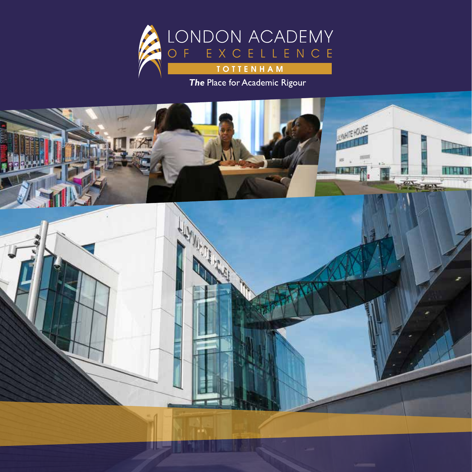

The Place for Academic Rigour

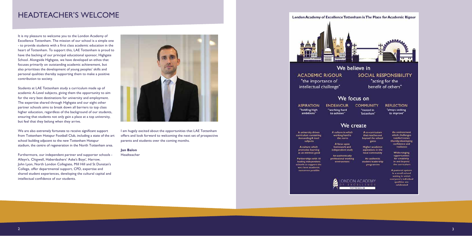### HEADTEACHER'S WELCOME

It is my pleasure to welcome you to the London Academy of Excellence Tottenham. The mission of our school is a simple one - to provide students with a first class academic education in the heart of Tottenham. To support this, LAE Tottenham is proud to have the backing of our principal educational sponsor, Highgate School. Alongside Highgate, we have developed an ethos that focuses primarily on outstanding academic achievement, but also prioritises the development of young peoples' skills and personal qualities thereby supporting them to make a positive contribution to society.

Students at LAE Tottenham study a curriculum made up of academic A-Level subjects, giving them the opportunity to aim for the very best destinations for university and employment. The expertise shared through Highgate and our eight other partner schools aims to break down all barriers to top class higher education, regardless of the background of our students, ensuring that students not only gain a place at a top university, but feel that they belong when they arrive.

We are also extremely fortunate to receive significant support from Tottenham Hotspur Football Club, including a state of the art school building adjacent to the new Tottenham Hotspur stadium, the centre of regeneration in the North Tottenham area.

Furthermore, our independent partner and supporter schools - Alleyn's, Chigwell, Haberdashers' Aske's Boys', Harrow, John Lyon, North London Collegiate, Mill Hill and St Dunstan's College, offer departmental support, CPD, expertise and shared student experiences, developing the cultural capital and intellectual confidence of our students.



I am hugely excited about the opportunities that LAE Tottenham offers and look forward to welcoming the next set of prospective parents and students over the coming months.

**Jan Balon** Headteacher

### London Academy of Excellence Tottenham is The Place for Academic Rigour



**ACADEMIC RIGOUR** "the importance of intellectual challenge"

### We focus on

**ASPIRATION** "holding high ambitions'

**ENDEAVOUR** "working hard to achieve"

### We create

A culture in which

working hard is

the norm

A focus upon

homework and

independent study.

A university driven curriculum containing demanding A level subjects

> A culture which promotes learning as an intrinsic good

Partnerships with 10 leading independent schools to support the very best academic outcomes possible





 $2$ 

We believe in SOCIAL RESPONSIBILITY "acting for the benefit of others"

**COMMUNITY** "rooted in Tottenham"

#### **REFLECTION**

"always seeking to improve"

A co-curriculum that reaches out beyond the school gates

**Higher academic** aspirations in the local community

An authentic student leadership programme



As environment which challenges comfort zones thereby developing confidence and resilience

> Wide-ranging opportunities for creativity in and beyond the curriculum

A pastoral system in a small school setting in which everyone's individual qualities are celebrated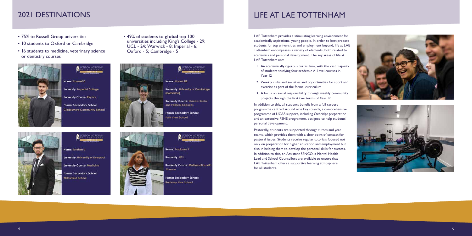# 2021 DESTINATIONS

- 75% to Russell Group universities
- 10 students to Oxford or Cambridge
- 16 students to medicine, veterinary science or dentistry courses



• 49% of students to **global** top 100 universities including King's College - 29; UCL - 24; Warwick - 8; Imperial - 6; Oxford - 5; Cambridge - 5



**University: University of Cambridge** University Course: Human, Social and Political Sciences Former Secondary School: Park View School



**ONDON ACADEMY** 

Name: Ibrahim U

**University: University of Liverpool** 

**University Course: Medicine** 

Former Secondary School: **Willowfield School** 



Name: Yordanos Y **University: UCL University Course: Mathematics with** Finance

**Former Secondary School: Hackney New School** 





# LIFE AT LAE TOTTENHAM

LAE Tottenham provides a stimulating learning environment for academically aspirational young people. In order to best prepare students for top universities and employment beyond, life at LAE Tottenham encompasses a variety of elements, both related to academics and personal development. The key areas of life at LAE Tottenham are:

- 1. An academically rigorous curriculum, with the vast majority of students studying four academic A-Level courses in Year 12
- 2. Weekly clubs and societies and opportunities for sport and exercise as part of the formal curriculum
- 3. A focus on social responsibility through weekly community projects through the first two terms of Year 12

In addition to this, all students benefit from a full careers programme centred around nine key strands, a comprehensive programme of UCAS support, including Oxbridge preparation and an extensive PSHE programme, designed to help students' personal development.

Pastorally, students are supported through tutors and year teams, which provides them with a clear point of contact for pastoral issues. Students receive regular tutorials focused not only on preparation for higher education and employment but also in helping them to develop the personal skills for success. In addition to this, an Assistant SENCO, a Mental Health Lead and School Counsellors are available to ensure that LAE Tottenham offers a supportive learning atmosphere for all students.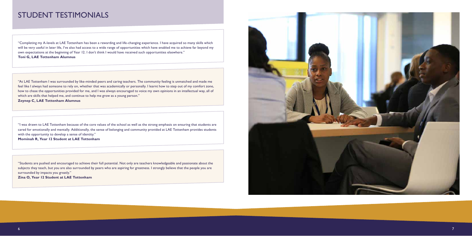### STUDENT TESTIMONIALS

"Completing my A-levels at LAE Tottenham has been a rewarding and life-changing experience. I have acquired so many skills which will be very useful in later life, I've also had access to a wide range of opportunities which have enabled me to achieve far beyond my own expectations at the beginning of Year 12. I don't think I would have received such opportunities elsewhere.'' **Toni G, LAE Tottenham Alumnus**

"I was drawn to LAE Tottenham because of the core values of the school as well as the strong emphasis on ensuring that students are cared for emotionally and mentally. Additionally, the sense of belonging and community provided at LAE Tottenham provides students with the opportunity to develop a sense of identity."

**Mominah R, Year 12 Student at LAE Tottenham**

"Students are pushed and encouraged to achieve their full potential. Not only are teachers knowledgeable and passionate about the subjects they teach, but you are also surrounded by peers who are aspiring for greatness. I strongly believe that the people you are surrounded by impacts you greatly."

**Zina O, Year 12 Student at LAE Tottenham**



"At LAE Tottenham I was surrounded by like-minded peers and caring teachers. The community feeling is unmatched and made me feel like I always had someone to rely on, whether that was academically or personally. I learnt how to step out of my comfort zone, how to chase the opportunities provided for me, and I was always encouraged to voice my own opinions in an intellectual way, all of which are skills that helped me, and continue to help me grow as a young person." **Zeynep C, LAE Tottenham Alumnus**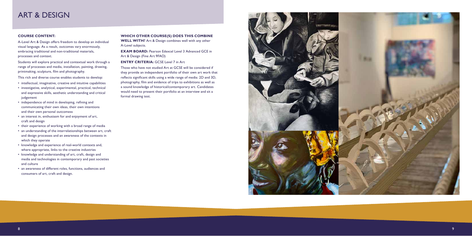

#### **COURSE CONTENT:**

A-Level Art & Design offers freedom to develop an individual visual language. As a result, outcomes vary enormously, embracing traditional and non-traditional materials, processes and context.

Students will explore practical and contextual work through a range of processes and media, installation, painting, drawing, printmaking, sculpture, film and photography.

This rich and diverse course enables students to develop:

**EXAM BOARD:** Pearson Edexcel Level 3 Advanced GCE in Art & Design (Fine Art 9FAO)

#### **ENTRY CRITERIA: GCSE Level 7 in Art**

- intellectual, imaginative, creative and intuitive capabilities
- investigative, analytical, experimental, practical, technical and expressive skills, aesthetic understanding and critical judgement
- independence of mind in developing, refining and communicating their own ideas, their own intentions and their own personal outcomess
- an interest in, enthusiasm for and enjoyment of art, craft and design
- their experience of working with a broad range of media
- an understanding of the interrelationships between art, craft and design processes and an awareness of the contexts in which they operate
- knowledge and experience of real-world contexts and, where appropriate, links to the creative industries
- knowledge and understanding of art, craft, design and media and technologies in contemporary and past societies and culture
- an awareness of different roles, functions, audiences and consumers of art, craft and design.

#### **WHICH OTHER COURSE(S) DOES THIS COMBINE WELL WITH?** Art & Design combines well with any other

A-Level subjects.

Those who have not studied Art at GCSE will be considered if they provide an independent portfolio of their own art work that reflects significant skills using a wide range of media: 2D and 3D, photography, film and evidence of trips to exhibitions as well as a sound knowledge of historical/contemporary art. Candidates would need to present their portfolio at an interview and sit a formal drawing test.



### ART & DESIGN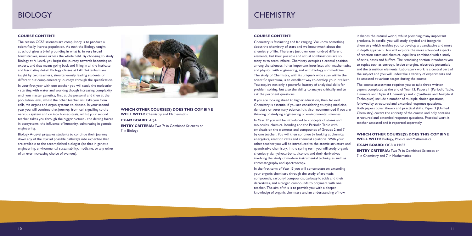### **BIOLOGY**

#### **COURSE CONTENT:**

The reason GCSE sciences are compulsory is to produce a scientifically literate population. As such the Biology taught at school gives a brief grounding in what is, in very broad brushstrokes, more or less the whole field. By choosing to study Biology at A-Level, you begin the journey towards becoming an expert, and that means going back and filling in all the intricate and fascinating detail. Biology classes at LAE Tottenham are taught by two teachers, simultaneously leading students on different but complementary journeys through the specification.

In your first year with one teacher you will study the molecular - starting with water and working though increasing complexity until you master genetics, first at the personal and then at the population level, whilst the other teacher will take you from cells, via organs and organ systems to disease. In your second year you will continue that journey, from cell signalling to the nervous system and on into homeostasis, whilst your second teacher takes you through the bigger picture - the driving forces in ecosystems, the influence of humanity, culminating in genetic engineering.

Biology A-Level prepares students to continue their journey down any of the myriad possible pathways into expertise that are available to the accomplished biologist (be that in genetic engineering, environmental sustainability, medicine, or any other of an ever increasing choice of avenues).



### **WHICH OTHER COURSE(S) DOES THIS COMBINE WELL WITH?** Chemistry and Mathematics **EXAM BOARD:** AQA **ENTRY CRITERIA:** Two 7s in Combined Sciences or 7 in Biology

## **CHEMISTRY**

#### **COURSE CONTENT:**

Chemistry is fascinating and far ranging. We know something about the chemistry of stars and we know much about the chemistry of life. There are just over one hundred different elements, but their possible and actual combinations are so many as to seem infinite. Chemistry occupies a central position among the sciences. It has important interfaces with mathematics and physics, with engineering, and with biology and medicine. The study of Chemistry, with its uniquely wide span within the scientific spectrum, is an excellent way to develop your intellect. You acquire not only a powerful battery of analytical skills for problem solving, but also the ability to analyse critically and to ask the pertinent questions.

If you are looking ahead to higher education, then A-Level Chemistry is essential if you are considering studying medicine, dentistry or veterinary science. It is also recommended if you are thinking of studying engineering or environmental sciences.

In Year 12 you will be introduced to concepts of atoms and molecules, chemical bonding and the Periodic Table with emphasis on the elements and compounds of Groups 2 and 7 by one teacher. You will then continue by looking at chemical energetics, reaction rates and chemical equilibria. With your other teacher you will be introduced to the atomic structure and quantitative chemistry. In the spring term you will study organic chemistry via hydrocarbons, alcohols and their derivatives involving the study of modern instrumental techniques such as chromatography and spectroscopy.

In the first term of Year 13 you will concentrate on extending your organic chemistry through the study of aromatic compounds, carbonyl compounds, carboxylic acids and their derivatives, and nitrogen compounds to polymers with one teacher. The aim of this is to provide you with a deeper knowledge of organic chemistry and an understanding of how

it shapes the natural world, whilst providing many important products. In parallel you will study physical and inorganic chemistry which enables you to develop a quantitative and more in depth approach. You will explore the more advanced aspects of reaction rates and chemical equilibria combined with a study of acids, bases and buffers. The remaining section introduces you to topics such as entropy, lattice energies, electrode potentials and the transition elements. Laboratory work is a central part of the subject and you will undertake a variety of experiments and be assessed at various stages during the course.

The course assessment requires you to take three written papers completed at the end of Year 13. Papers 1 (Periodic Table, Elements and Physical Chemistry) and 2 (Synthesis and Analytical Techniques) include a number of multiple choice questions, followed by structured and extended response questions. Both papers cover theory and practical skills. Paper 3 (Unified Chemistry) covers the entirety of the course and only contains structured and extended response questions. Practical work is teacher-assessed and is reported separately.

**WHICH OTHER COURSE(S) DOES THIS COMBINE WELL WITH?** Biology, Physics and Mathematics **EXAM BOARD: OCR A H432 ENTRY CRITERIA:** Two 7s in Combined Sciences or 7 in Chemistry and 7 in Mathematics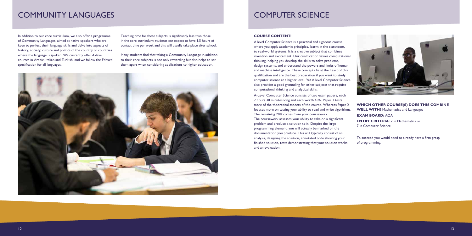## COMPUTER SCIENCE

#### **COURSE CONTENT:**

A level Computer Science is a practical and rigorous course where you apply academic principles, learnt in the classroom, to real-world systems. It is a creative subject that combines invention and excitement. Our qualification values computational thinking, helping you develop the skills to solve problems, design systems, and understand the powers and limits of human and machine intelligence. These concepts lie at the heart of this qualification and are the best preparation if you want to study computer science at a higher level. Yet A level Computer Science also provides a good grounding for other subjects that require computational thinking and analytical skills.

A-Level Computer Science consists of two exam papers, each 2 hours 30 minutes long and each worth 40%. Paper 1 tests more of the theoretical aspects of the course. Whereas Paper 2 focuses more on testing your ability to read and write algorithms. The remaining 20% comes from your coursework. The coursework assesses your ability to take on a significant problem and produce a solution to it. Despite the large programming element, you will actually be marked on the documentation you produce. This will typically consist of an analysis, designing the solution, annotated code showing your finished solution, tests demonstrating that your solution works and an evaluation.



**WHICH OTHER COURSE(S) DOES THIS COMBINE WELL WITH?** Mathematics and Languages

**EXAM BOARD:** AQA

**ENTRY CRITERIA:** 7 in Mathematics or

7 in Computer Science

To succeed you would need to already have a firm grasp of programming.

### COMMUNITY LANGUAGES

In addition to our core curriculum, we also offer a programme of Community Languages, aimed at native speakers who are keen to perfect their language skills and delve into aspects of history, society, culture and politics of the country or countries where the language is spoken. We currently offer A-level courses in Arabic, Italian and Turkish, and we follow the Edexcel specification for all languages.

Teaching time for these subjects is significantly less than those in the core curriculum: students can expect to have 1.5 hours of contact time per week and this will usually take place after school.

Many students find that taking a Community Language in addition to their core subjects is not only rewarding but also helps to set them apart when considering applications to higher education.

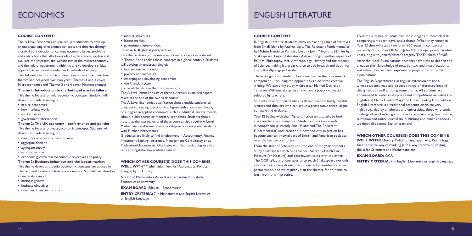### ENGLISH LITERATURE

#### **COURSE CONTENT:**

In English Literature students study an exciting range of set texts from Small Island by Andrea Levy, The Reluctant Fundamentalist by Mohsin Hamid to Paradise Lost by John Milton and Hamlet by Shakespeare. English Literature A-level brings together aspects of Politics, Philosophy, Art, Anthropology, History and the History of Science, making it a great choice to add breadth and depth for any culturally-engaged student.

There is significant student choice involved in the coursework component – including the opportunity to do some creative writing. We currently study A Streetcar Named Desire by Tenessee Williams alongside a novel and a poetry collection selected by teachers.

Students develop their reading skills and become highly capable writers and thinkers who can set up a provocative thesis, argue, compare and evaluate.

Year 12 begins with the 'Migrant' fiction unit, taught by both class teachers in conjunction. Students study two novels in comparison (currently Small Island and The Reluctant Fundamentalist) and learn about how and why migration has become such an integral part of British and American societies over the last two centuries.

From the start of February until the end of the year, students study Shakespeare with one teacher (currently Hamlet or Measure for Measure) and coursework texts with the other. The OCR syllabus encourages us to teach Shakespeare not only as a text but a living drama that is constantly re-interpreted in performance, and we regularly visit the theatre for students to learn from this in practise.

Over the summer, students plan their longer coursework task comparing a modern novel and a drama. When they return in Year 13 they will study two 'pre-1900' texts in comparison, currently Books 9 and 10 from John Milton's epic poem Paradise Lost along with John Webster's tragedy The Duchess of Malfi.

After the Mock Examinations, students have time to deepen and broaden their knowledge of text, context and interpretations, and refine their written responses in preparation for public examinations.

The English Department run regular extension sessions, where students read and discuss a range of literature beyond the syllabus as well as doing some drama. All students are encouraged to enter essay prizes and competitions including the English and Media Centre Magazine Close Reading Competition. English Literature is a traditional academic discipline very highly regarded by employers and universities: those who study Undergraduate English go on to work in advertising, law, finance, television and radio, journalism, publishing and public relations we don't all become English teachers!

#### **WHICH OTHER COURSE(S) DOES THIS COMBINE**

**WELL WITH?** History, Politics, Languages, Art, Psychology. An alternative way of thinking (and a way to develop writing skills) for Scientists and Mathematicians

#### **EXAM BOARD: OCR**

**ENTRY CRITERIA:** 7 in English Literature or English Language

**ENTRY CRITERIA:** 7 in Mathematics and English Literature or English Language

### ECONOMICS

#### **COURSE CONTENT:**

The A-Level Economics course requires students to develop an understanding of economic concepts and theories through a critical consideration of current economic issues, problems and instructions that affect everyday life; to analyse, explain and evaluate the strengths and weaknesses of the market economy and the role of government within it; and to develop a critical approach to economic models and methods of enquiry. The A-Level specification is a linear course structured into four themes and delivered over two years. Themes 1 and 3 cover Microeconomics and Themes 2 and 4 cover Macroeconomics.

**Theme 1: Introduction to markets and market failure**

This theme focuses on microeconomic concepts. Students will develop an understanding of:

- nature economics
- how markets work
- market failure
- government intervention.

**Theme 2: The UK economy – performance and policies** This theme focuses on macroeconomic concepts. Students will develop an understanding of:

- measures of economic performance
- aggregate demand
- aggregate supply
- national income

• economic growth macroeconomic objectives and policy.

**Theme 3: Business behaviour and the labour market** This theme develops the microeconomic concepts introduced in Theme 1 and focuses on business economics. Students will develop an understanding of:

- business growth
- business objectives
- revenues, costs and profits
- market structures
- labour market
- government intervention.

#### **Theme 4: A global perspective**

This theme develops the macroeconomic concepts introduced

in Theme 2 and applies these concepts in a global context. Students

- will develop an understanding of:
- international economics
- poverty and inequality
- emerging and developing economies
- the financial sector
- role of the state in the macroeconomy.

The A-Level exam consists of three externally examined papers taken at the end of the two-year course.

The A-Level Economics qualification should enable students to progress to a straight economics degree with a focus on theory, or a degree in applied economics such as industrial, environmental, labour, public sector or monetary economics. Students should note that the vast majority of these courses also require A-Level Mathematics and some Economics degree courses prefer students with Further Mathematics.

Graduates are likely to find employment in Accountancy, Finance, Investment Banking, Insurance, Management Consultancy or as Professional Economists. Graduates with Economics degrees also rank amongst the top graduate salaries.

#### **WHICH OTHER COURSE(S) DOES THIS COMBINE**

**WELL WITH?** Mathematics, Further Mathematics, Politics, Geography or History

Note that Mathematics A-Level is a requirement to study Economics at university.

**EXAM BOARD:** Edexcel - Economics A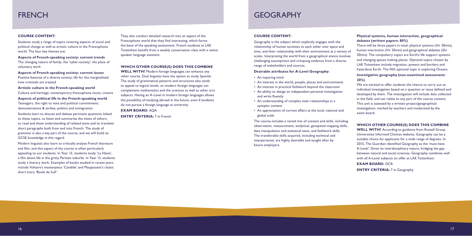### GEOGRAPHY

#### **COURSE CONTENT:**

Geography is the subject which explicitly engages with the relationship of human societies to each other over space and time, and their relationship with their environment at a variety of scales. Interpreting the world from a geographical stance involves challenging assumptions and critiquing evidence from a diverse range of stakeholders and sources.

#### **Desirable attributes for A-Level Geography:**

- An inquiring mind
- An interest in the world, people, places and environments
- An interest in practical fieldwork beyond the classroom
- An ability to design an independent personal investigation and write fluently
- An understanding of complex inter-relationships in a synoptic context
- An appreciation of current affairs at the local, national and global scale

The course includes a varied mix of content and skills, including observation, measurement, analytical, geospatial mapping skills, data manipulation and statistical tests, and fieldwork skills. The transferable skills acquired, including technical and interpersonal, are highly desirable and sought after by future employers.

### **Physical systems, human interaction, geographical debates (written papers: 80%)**

There will be three papers in total: physical systems (1hr 30min), human interaction (1hr 30min) and geographical debates (2hr 30min). The compulsory topics are Earth's life support systems and changing spaces making places. Optional topics chosen by LAE Tottenham include migration, powers and borders and hazardous Earth. The fifth optional topic is exploring Oceans.

#### **Investigative geography (non-examined assessment: 20%)**

We are excited to offer students the chance to carry out an individual investigation based on a question or issue defined and developed by them. The investigation will include data collected in the field, and can relate to any part of the course content. This unit is assessed by a written project/geographical investigation, marked by teachers and moderated by the exam board.

#### **WHICH OTHER COURSE(S) DOES THIS COMBINE**

**WELL WITH?** According to guidance from Russell Group Universities Informed Choices website, Geography can be a suitable choice for applicants for a wide range of degrees. In 2015, The Guardian identified Geography as the 'must-have A-Level'. Given its interdisciplinary nature, bridging the gap between natural and social sciences, Geography combines well with all A-Level subjects on offer at LAE Tottenham.

### **EXAM BOARD: OCR**

**ENTRY CRITERIA:** 7 in Geography

### **FRENCH**

#### **COURSE CONTENT:**

Students study a range of topics covering aspects of social and political change as well as artistic culture in the Francophone world. The four key themes are:

**Aspects of French-speaking society: current trends** The changing nature of family; the 'cyber-society'; the place of voluntary work

**Aspects of French-speaking society: current issues** Positive features of a diverse society; life for the marginalised; how criminals are treated

**Artistic culture in the French-speaking world** Culture and heritage; contemporary francophone music; cinema **Aspects of political life in the French-speaking world**

Teenagers, the right to vote and political commitment; demonstrations & strikes; politics and immigration

Students learn to discuss and debate pertinent questions linked to these topics, to listen and summarise the views of others, to read and show understanding of related texts and to translate short paragraphs both from and into French. The study of grammar is also a key part of the course, and we will build on GCSE knowledge in this regard.

Modern linguists also learn to critically analyse French literature and film, and this aspect of the course is often particularly appealing to our students. In Year 12, students study 'La Haine', a film about life in the gritty Parisian suburbs. In Year 13, students study a literary work. Examples of books studied in recent years include Voltaire's masterpiece 'Candide' and Maupassant's classic short story 'Boule de Suif'.

They also conduct detailed research into an aspect of the Francophone world that they find interesting, which forms the basis of the speaking assessment. French students at LAE Tottenham benefit from a weekly conversation class with a native speaker language assistant.

#### **WHICH OTHER COURSE(S) DOES THIS COMBINE**

**WELL WITH?** Modern foreign languages can enhance any other course. Dual linguists have the option to study Spanish. The study of grammatical patterns and structures also tends to appeal to logical minds, so modern foreign languages can complement mathematics and the sciences as well as other arts subjects. Having an A-Level in modern foreign languages allows the possibility of studying abroad in the future, even if students do not pursue a foreign language at university.

**EXAM BOARD:** AQA

**ENTRY CRITERIA: 7 in French**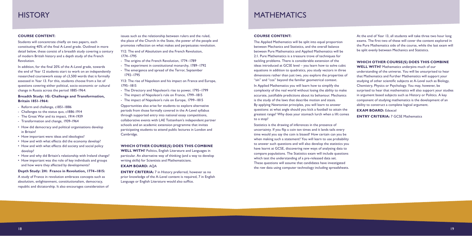# MATHEMATICS

#### **COURSE CONTENT:**

The Applied Mathematics will be split into equal proportion between Mechanics and Statistics, and the overall balance between Pure Mathematics and Applied Mathematics will be 2:1. Pure Mathematics is a treasure trove of techniques for tackling problems. There is considerable extension of the ideas introduced at GCSE level – you learn how to solve cubic equations in addition to quadratics, you study vectors in three dimensions rather than just two, you explore the properties of "sin" and "cos" beyond the familiar geometrical context.

In Applied Mathematics you will learn how to simplify the complexity of the real world without losing the ability to make accurate, justifiable predictions about its behaviour. Mechanics is the study of the laws that describe motion and stasis. By applying Newtonian principles, you will learn to answer questions: at what angle should you kick a football to attain the greatest range? Why does your stomach lurch when a lift comes to a stop?

Statistics is the drawing of inferences in the presence of uncertainty. If you flip a coin ten times and it lands tails every time would you say the coin is biased? How certain can you be when making such a statement? You will learn to use probability to answer such questions and will also develop the statistics you have learnt at GCSE, discovering new ways of analysing data to compare populations. The Statistics exam will include questions which test the understanding of a pre-released data set. These questions will assume that candidates have investigated the raw data using computer technology including spreadsheets. At the end of Year 13, all students will take three two hour long exams. The first two of these will cover the content explored in the Pure Mathematics side of the course, while the last exam will be split evenly between Mechanics and Statistics.

#### **WHICH OTHER COURSE(S) DOES THIS COMBINE**

**WELL WITH?** Mathematics underpins much of our understanding of the universe. You will be unsurprised to hear that Mathematics and Further Mathematics will support your studying of other scientific subjects at A-Level such as Biology, Chemistry, Physics or Psychology. You may, however, be surprised to hear that mathematics will also support your studies in argument based subjects such as History or Politics. A key component of studying mathematics is the development of an ability to construct a complete logical argument.

**EXAM BOARD:** Edexcel

**ENTRY CRITERIA: 7 GCSE Mathematics** 

### **HISTORY**

#### **COURSE CONTENT:**

Students will concentrate chiefly on two papers, each constituting 40% of the final A-Level grade. Outlined in more detail below, these consist of a breadth study covering a century of modern British history and a depth study of the French Revolution.

> **ENTRY CRITERIA:** 7 in History preferred, however as no prior knowledge of the A-Level content is required, 7 in English Language or English Literature would also suffice.

In addition, for the final 20% of the A-Level grade, towards the end of Year 12 students start to work on an independently researched coursework essay of c3,500 words that is formally assessed in Year 13. For this, students choose from a list of questions covering either political, socio-economic or cultural change in Russia across the period 1885-1964.

#### **Breadth Study: 1G: Challenge and Transformation, Britain 1851-1964:**

- Reform and challenge, c1851-1886
- Challenges to the status quo, c1886-1914
- The Great War and its impact, 1914-1939
- Transformation and change, 1939-1964
- How did democracy and political organisations develop in Britain?
- How important were ideas and ideologies?
- How and with what effects did the economy develop?
- How and with what effects did society and social policy develop?
- How and why did Britain's relationship with Ireland change?
- How important was the role of key individuals and groups and how were they affected by developments?

#### **Depth Study: 2H: France in Revolution, 1774–1815:**

A study of France in revolution embraces concepts such as absolutism, enlightenment, constitutionalism, democracy, republic and dictatorship. It also encourages consideration of issues such as the relationship between rulers and the ruled, the place of the Church in the State, the power of the people and promotes reflection on what makes and perpetuates revolution.

Y12: The end of Absolutism and the French Revolution, 1774–1795

- The origins of the French Revolution, 1774–1789
- The experiment in constitutional monarchy, 1789–1792
- The emergence and spread of the Terror, September 1792–1795

Y13: The rise of Napoleon and his impact on France and Europe, 1795–1815

- The Directory and Napoleon's rise to power, 1795–1799
- The impact of Napoleon's rule on France, 1799–1815
- The impact of Napoleon's rule on Europe, 1799–1815

Opportunities also arise for students to explore alternative periods from those formally covered in the A-Level syllabus through supported entry into national essay competitions, collaborative events with LAE Tottenham's independent partner schools and an academic extension programme that invites participating students to attend public lectures in London and Cambridge.

#### **WHICH OTHER COURSE(S) DOES THIS COMBINE**

**WELL WITH?** Politics, English Literature and Languages in particular. An alternative way of thinking (and a way to develop writing skills) for Scientists and Mathematicians.

#### **EXAM BOARD:** AQA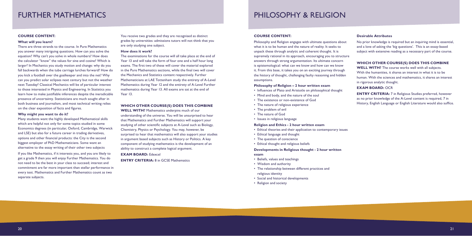### FURTHER MATHEMATICS

#### **COURSE CONTENT:**

#### **What will you learn?**

There are three strands to the course. In Pure Mathematics you answer many intriguing questions. How can you solve the equation? Why can't you solve in whole numbers? How does the calculator "know" the values for sine and cosine? Which is larger? In Mechanics you study motion and change: why do you fall backwards when the tube carriage lurches forward? How do you kick a football over the goalkeeper and into the net? Why can you predict solar eclipses next century but not the weather next Tuesday? Classical Mechanics will be of particular interest to those interested in Physics and Engineering. In Statistics you learn how to make justifiable inferences despite the ineradicable presence of uncertainty. Statisticians are much sought after in both business and journalism, and most technical writing relies on the clear exposition of facts and figures.

#### **Why might you want to do it?**

Many students want the highly developed Mathematical skills which are helpful not only for some topics studied in some Economics degrees (in particular, Oxford, Cambridge, Warwick and LSE) but also for a future career in trading derivatives, options and other financial products: the City is the second biggest employer of PhD Mathematicians. Some want an alternative to the essay writing of their other two subjects

If you like Mathematics, if it interests you, and you are likely to get a grade 9 then you will enjoy Further Mathematics. You do not need to be the best in your class to succeed; interest and commitment are far more important than stellar performance in every test. Mathematics and Further Mathematics count as two separate subjects.

You receive two grades and they are recognised as distinct grades by universities: admissions tutors will not think that you are only studying one subject.

#### **How does it work?**

The examinations for the course will all take place at the end of Year 13 and will take the form of four one and a half hour long exams. The first two of these will cover the material explored in the Pure Mathematics sections, while the final two will cover the Mechanics and Statistics content respectively. Further Mathematicians at LAE Tottenham study the entirety of A-Level Mathematics during Year 12 and the entirety of A-Level Further mathematics during Year 13. All exams are sat at the end of Year 13.

#### **WHICH OTHER COURSE(S) DOES THIS COMBINE**

**ENTRY CRITERIA:** 7 in Religious Studies preferred, however as no prior knowledge of the A-Level content is required, 7 in History, English Language or English Literature would also suffice.

**WELL WITH?** Mathematics underpins much of our understanding of the universe. You will be unsurprised to hear that Mathematics and Further Mathematics will support your studying of other scientific subjects at A-Level such as Biology, Chemistry, Physics or Psychology. You may, however, be surprised to hear that mathematics will also support your studies in argument based subjects such as History or Politics. A key component of studying mathematics is the development of an ability to construct a complete logical argument.

**EXAM BOARD:** Edexcel **ENTRY CRITERIA:** 8 in GCSE Mathematics

## PHILOSOPHY & RELIGION

#### **COURSE CONTENT:**

Philosophy and Religion engages with ultimate questions about what it is to be human and the nature of reality. It seeks to unpack these through analytic and coherent thought. It is supremely rational in its approach, encouraging you to structure answers through strong argumentation. Its ultimate concern is epistemological: what can we know and how can we know it. From this base, it takes you on an exciting journey through the history of thought, challenging faulty reasoning and hidden assumptions.

#### **Philosophy of Religion – 2 hour written exam**

- Influences of Plato and Aristotle on philosophical thought
- Mind and body, and the nature of the soul
- The existence or non-existence of God
- The nature of religious experience
- The problem of evil
- The nature of God
- Issues in religious language

#### **Religion and Ethics - 2 hour written exam**

- Ethical theories and their application to contemporary issues
- Ethical language and thought
- The question of conscience
- Ethical thought and religious beliefs

#### **Developments in Religious thought - 2 hour written exam**

- Beliefs, values and teachings
- Wisdom and authority
- The relationship between different practices and religious identity
- Social and historical developments
- Religion and society

#### **Desirable Attributes**

No prior knowledge is required but an inquiring mind is essential, and a love of asking the 'big questions'. This is an essay-based subject with extensive reading as a necessary part of the course.

### **WHICH OTHER COURSE(S) DOES THIS COMBINE**

**WELL WITH?** The course works well with all subjects. With the humanities, it shares an interest in what it is to be human. With the sciences and mathematics, it shares an interest in rigorous analytic thought.

#### **EXAM BOARD: OCR**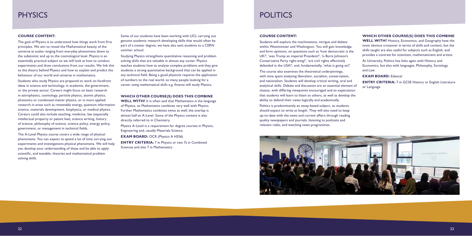### PHYSICS

#### **COURSE CONTENT:**

The goal of Physics is to understand how things work from first principles. We aim to reveal the Mathematical beauty of the universe at scales ranging from everyday phenomena down to the subatomic and up to the cosmological level. Physics is an essentially practical subject so we will look at how to conduct experiments and draw conclusions from our results. We link this to the theory behind Physics and how to explain and predict the behaviour of our world and universe in mathematics.

Students who study Physics are prepared to work on forefront ideas in science and technology, in academia, the government, or the private sector. Careers might focus on basic research in astrophysics, cosmology, particle physics, atomic physics, photonics or condensed matter physics, or in more applied research in areas such as renewable energy, quantum information science, materials development, biophysics, or medical physics. Careers could also include teaching, medicine, law (especially intellectual property or patent law), science writing, history of science, philosophy of science, science policy, energy policy, government, or management in technical fields.

The A-Level Physics course covers a wide range of physical phenomena. You can expect to spend a lot of time carrying out experiments and investigations physical phenomena. We will help you develop your understanding of these and be able to apply scientific, and testable, theories and mathematical problem solving skills.

**ENTRY CRITERIA:** 7 in Physics or two 7s in Combined Sciences and also 7 in Mathematics

# POLITICS

Some of our students have been working with UCL carrying out genuine academic research developing skills that would often be part of a master degree, we have also sent students to a CERN summer school.

Studying Physics strengthens quantitative reasoning and problem solving skills that are valuable in almost any career. Physics teaches students how to analyze complex problems and they give students a strong quantitative background that can be applied in any technical field. Being a good physicist requires the application of numbers to the real world, so many people looking for a career using mathematical skills e.g. finance will study Physics.

**ENTRY CRITERIA:** 7 in GCSE History or English Literature or Language

#### **WHICH OTHER COURSE(S) DOES THIS COMBINE**

**WELL WITH?** It is often said that Mathematics is the language of Physics, so Mathematics combines very well with Physics. Further Mathematics combines twice as well; the overlap is almost half an A-Level. Some of the Physics content is also directly referred to in Chemistry.

Physics A-Level is a requirement for degree courses in Physics, Engineering and, usually Materials Science.

**EXAM BOARD: OCR (Physics A H556)** 

#### **COURSE CONTENT:**

Students will explore the machinations, intrigue and debate within Westminster and Washington. You will gain knowledge, and form opinions, on questions such as 'how democratic is the UK?', 'was Trump an imperial President?', 'is Boris Johnson's Conservative Party right-wing?', 'are civil rights effectively defended in the USA?', and, fundamentally, 'what is going on?'.

The course also examines the theoretical underpinnings, with time spent analysing liberalism, socialism, conservatism, and nationalism. Students will develop critical writing, oral and analytical skills. Debate and discussion are an essential element of classes, with differing viewpoints encouraged and an expectation that students will learn to listen to others, as well as develop the ability to defend their views logically and academically.

Politics is predominantly an essay-based subject, so students should expect to write at length. They will also need to keep up-to-date with the news and current affairs through reading quality newspapers and journals, listening to podcasts and relevant radio, and watching news programmes.



#### **WHICH OTHER COURSE(S) DOES THIS COMBINE**

**WELL WITH?** History, Economics, and Geography have the most obvious crossover in terms of skills and content, but the skills taught are also useful for subjects such as English, and provides a contrast for scientists, mathematicians and artists.

At University, Politics has links again with History and Economics, but also with languages, Philosophy, Sociology and Law.

**EXAM BOARD:** Edexcel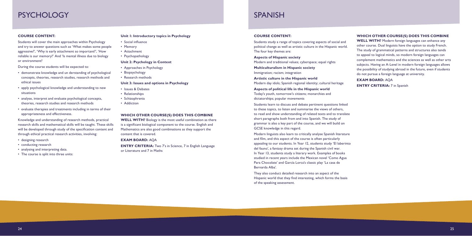### PSYCHOLOGY

#### **COURSE CONTENT:**

Students will cover the main approaches within Psychology and try to answer questions such as 'What makes some people aggressive?', 'Why is early attachment so important?', 'How reliable is our memory?' And 'Is mental illness due to biology or environment?

During the course students will be expected to:

- demonstrate knowledge and un derstanding of psychological concepts, theories, research studies, research methods and ethical issues
- apply psychological knowledge and understanding to new situations
- analyse, interpret and evaluate psychological concepts, theories, research studies and research methods
- evaluate therapies and treatments including in terms of their appropriateness and effectiveness.

Knowledge and understanding of research methods, practical research skills and mathematical skills will be taught. These skills will be developed through study of the specification content and through ethical practical research activities, involving:

- designing research
- conducting research
- analysing and interpreting data.
- The course is split into three units:

#### **Unit 1: Introductory topics in Psychology**

- Social influence
- Memory
- Attachment
- Psychopathology

#### **Unit 2: Psychology in Context**

- Approaches in Psychology
- Biopsychology
- Research methods

#### **Unit 3: Issues and options in Psychology**

- Issues & Debates
- Relationships
- Schizophrenia
- Addiction

#### **WHICH OTHER COURSE(S) DOES THIS COMBINE**

**WELL WITH?** Biology is the most useful combination as there is a significant biological component to the course. English and Mathematics are also good combinations as they support the content that is covered.

#### **EXAM BOARD:** AQA

**ENTRY CRITERIA:** Two 7's in Science, 7 in English Language or Literature and 7 in Maths

### SPANISH

#### **COURSE CONTENT:**

Students study a range of topics covering aspects of social and political change as well as artistic culture in the Hispanic world. The four key themes are:

#### **Aspects of Hispanic society**

Modern and traditional values; cyberspace; equal rights

**Multiculturalism in Hispanic society** Immigration; racism; integration

**Artistic culture in the Hispanic world** Modern day idols; Spanish regional identity; cultural heritage

#### **Aspects of political life in the Hispanic world**

Today's youth, tomorrow's citizens; monarchies and dictatorships; popular movements

Students learn to discuss and debate pertinent questions linked to these topics, to listen and summarise the views of others, to read and show understanding of related texts and to translate short paragraphs both from and into Spanish. The study of grammar is also a key part of the course, and we will build on GCSE knowledge in this regard.

Modern linguists also learn to critically analyse Spanish literature and film, and this aspect of the course is often particularly appealing to our students. In Year 12, students study 'El laberinto del fauno', a fantasy drama set during the Spanish civil war. In Year 13, students study a literary work. Examples of books studied in recent years include the Mexican novel 'Como Agua Para Chocolate' and García Lorca's classic play 'La casa de Bernarda Alba'.

They also conduct detailed research into an aspect of the Hispanic world that they find interesting, which forms the basis of the speaking assessment.

#### **WHICH OTHER COURSE(S) DOES THIS COMBINE**

**WELL WITH?** Modern foreign languages can enhance any other course. Dual linguists have the option to study French. The study of grammatical patterns and structures also tends to appeal to logical minds, so modern foreign languages can complement mathematics and the sciences as well as other arts subjects. Having an A-Level in modern foreign languages allows the possibility of studying abroad in the future, even if students do not pursue a foreign language at university.

#### **EXAM BOARD:** AQA

**ENTRY CRITERIA: 7 in Spanish**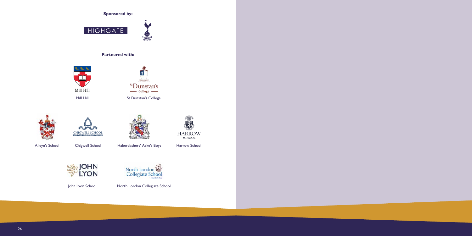

John Lyon School North London Collegiate School